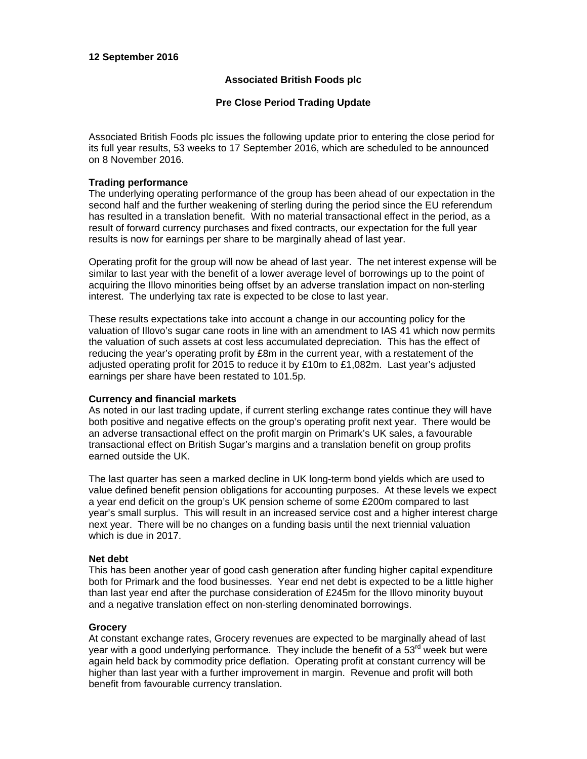## **12 September 2016**

# **Associated British Foods plc**

# **Pre Close Period Trading Update**

Associated British Foods plc issues the following update prior to entering the close period for its full year results, 53 weeks to 17 September 2016, which are scheduled to be announced on 8 November 2016.

## **Trading performance**

The underlying operating performance of the group has been ahead of our expectation in the second half and the further weakening of sterling during the period since the EU referendum has resulted in a translation benefit. With no material transactional effect in the period, as a result of forward currency purchases and fixed contracts, our expectation for the full year results is now for earnings per share to be marginally ahead of last year.

Operating profit for the group will now be ahead of last year. The net interest expense will be similar to last year with the benefit of a lower average level of borrowings up to the point of acquiring the Illovo minorities being offset by an adverse translation impact on non-sterling interest. The underlying tax rate is expected to be close to last year.

These results expectations take into account a change in our accounting policy for the valuation of Illovo's sugar cane roots in line with an amendment to IAS 41 which now permits the valuation of such assets at cost less accumulated depreciation. This has the effect of reducing the year's operating profit by £8m in the current year, with a restatement of the adjusted operating profit for 2015 to reduce it by £10m to £1,082m. Last year's adjusted earnings per share have been restated to 101.5p.

## **Currency and financial markets**

As noted in our last trading update, if current sterling exchange rates continue they will have both positive and negative effects on the group's operating profit next year. There would be an adverse transactional effect on the profit margin on Primark's UK sales, a favourable transactional effect on British Sugar's margins and a translation benefit on group profits earned outside the UK.

The last quarter has seen a marked decline in UK long-term bond yields which are used to value defined benefit pension obligations for accounting purposes. At these levels we expect a year end deficit on the group's UK pension scheme of some £200m compared to last year's small surplus. This will result in an increased service cost and a higher interest charge next year. There will be no changes on a funding basis until the next triennial valuation which is due in 2017.

## **Net debt**

This has been another year of good cash generation after funding higher capital expenditure both for Primark and the food businesses. Year end net debt is expected to be a little higher than last year end after the purchase consideration of £245m for the Illovo minority buyout and a negative translation effect on non-sterling denominated borrowings.

## **Grocery**

At constant exchange rates, Grocery revenues are expected to be marginally ahead of last year with a good underlying performance. They include the benefit of a  $53<sup>rd</sup>$  week but were again held back by commodity price deflation. Operating profit at constant currency will be higher than last year with a further improvement in margin. Revenue and profit will both benefit from favourable currency translation.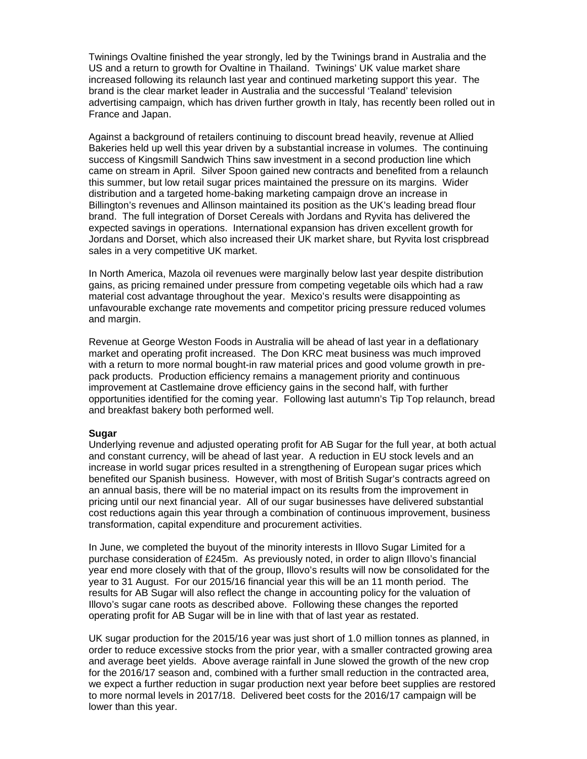Twinings Ovaltine finished the year strongly, led by the Twinings brand in Australia and the US and a return to growth for Ovaltine in Thailand. Twinings' UK value market share increased following its relaunch last year and continued marketing support this year. The brand is the clear market leader in Australia and the successful 'Tealand' television advertising campaign, which has driven further growth in Italy, has recently been rolled out in France and Japan.

Against a background of retailers continuing to discount bread heavily, revenue at Allied Bakeries held up well this year driven by a substantial increase in volumes. The continuing success of Kingsmill Sandwich Thins saw investment in a second production line which came on stream in April. Silver Spoon gained new contracts and benefited from a relaunch this summer, but low retail sugar prices maintained the pressure on its margins. Wider distribution and a targeted home-baking marketing campaign drove an increase in Billington's revenues and Allinson maintained its position as the UK's leading bread flour brand. The full integration of Dorset Cereals with Jordans and Ryvita has delivered the expected savings in operations. International expansion has driven excellent growth for Jordans and Dorset, which also increased their UK market share, but Ryvita lost crispbread sales in a very competitive UK market.

In North America, Mazola oil revenues were marginally below last year despite distribution gains, as pricing remained under pressure from competing vegetable oils which had a raw material cost advantage throughout the year. Mexico's results were disappointing as unfavourable exchange rate movements and competitor pricing pressure reduced volumes and margin.

Revenue at George Weston Foods in Australia will be ahead of last year in a deflationary market and operating profit increased. The Don KRC meat business was much improved with a return to more normal bought-in raw material prices and good volume growth in prepack products. Production efficiency remains a management priority and continuous improvement at Castlemaine drove efficiency gains in the second half, with further opportunities identified for the coming year. Following last autumn's Tip Top relaunch, bread and breakfast bakery both performed well.

#### **Sugar**

Underlying revenue and adjusted operating profit for AB Sugar for the full year, at both actual and constant currency, will be ahead of last year. A reduction in EU stock levels and an increase in world sugar prices resulted in a strengthening of European sugar prices which benefited our Spanish business. However, with most of British Sugar's contracts agreed on an annual basis, there will be no material impact on its results from the improvement in pricing until our next financial year. All of our sugar businesses have delivered substantial cost reductions again this year through a combination of continuous improvement, business transformation, capital expenditure and procurement activities.

In June, we completed the buyout of the minority interests in Illovo Sugar Limited for a purchase consideration of £245m. As previously noted, in order to align Illovo's financial year end more closely with that of the group, Illovo's results will now be consolidated for the year to 31 August. For our 2015/16 financial year this will be an 11 month period. The results for AB Sugar will also reflect the change in accounting policy for the valuation of Illovo's sugar cane roots as described above. Following these changes the reported operating profit for AB Sugar will be in line with that of last year as restated.

UK sugar production for the 2015/16 year was just short of 1.0 million tonnes as planned, in order to reduce excessive stocks from the prior year, with a smaller contracted growing area and average beet yields. Above average rainfall in June slowed the growth of the new crop for the 2016/17 season and, combined with a further small reduction in the contracted area, we expect a further reduction in sugar production next year before beet supplies are restored to more normal levels in 2017/18. Delivered beet costs for the 2016/17 campaign will be lower than this year.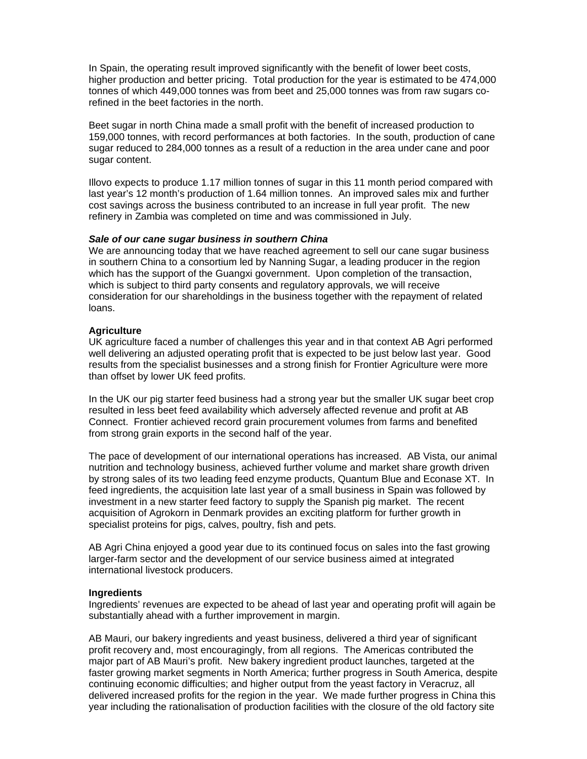In Spain, the operating result improved significantly with the benefit of lower beet costs, higher production and better pricing. Total production for the year is estimated to be 474,000 tonnes of which 449,000 tonnes was from beet and 25,000 tonnes was from raw sugars corefined in the beet factories in the north.

Beet sugar in north China made a small profit with the benefit of increased production to 159,000 tonnes, with record performances at both factories. In the south, production of cane sugar reduced to 284,000 tonnes as a result of a reduction in the area under cane and poor sugar content.

Illovo expects to produce 1.17 million tonnes of sugar in this 11 month period compared with last year's 12 month's production of 1.64 million tonnes. An improved sales mix and further cost savings across the business contributed to an increase in full year profit. The new refinery in Zambia was completed on time and was commissioned in July.

## *Sale of our cane sugar business in southern China*

We are announcing today that we have reached agreement to sell our cane sugar business in southern China to a consortium led by Nanning Sugar, a leading producer in the region which has the support of the Guangxi government. Upon completion of the transaction, which is subject to third party consents and regulatory approvals, we will receive consideration for our shareholdings in the business together with the repayment of related loans.

## **Agriculture**

UK agriculture faced a number of challenges this year and in that context AB Agri performed well delivering an adjusted operating profit that is expected to be just below last year. Good results from the specialist businesses and a strong finish for Frontier Agriculture were more than offset by lower UK feed profits.

In the UK our pig starter feed business had a strong year but the smaller UK sugar beet crop resulted in less beet feed availability which adversely affected revenue and profit at AB Connect. Frontier achieved record grain procurement volumes from farms and benefited from strong grain exports in the second half of the year.

The pace of development of our international operations has increased. AB Vista, our animal nutrition and technology business, achieved further volume and market share growth driven by strong sales of its two leading feed enzyme products, Quantum Blue and Econase XT. In feed ingredients, the acquisition late last year of a small business in Spain was followed by investment in a new starter feed factory to supply the Spanish pig market. The recent acquisition of Agrokorn in Denmark provides an exciting platform for further growth in specialist proteins for pigs, calves, poultry, fish and pets.

AB Agri China enjoyed a good year due to its continued focus on sales into the fast growing larger-farm sector and the development of our service business aimed at integrated international livestock producers.

#### **Ingredients**

Ingredients' revenues are expected to be ahead of last year and operating profit will again be substantially ahead with a further improvement in margin.

AB Mauri, our bakery ingredients and yeast business, delivered a third year of significant profit recovery and, most encouragingly, from all regions. The Americas contributed the major part of AB Mauri's profit. New bakery ingredient product launches, targeted at the faster growing market segments in North America; further progress in South America, despite continuing economic difficulties; and higher output from the yeast factory in Veracruz, all delivered increased profits for the region in the year. We made further progress in China this year including the rationalisation of production facilities with the closure of the old factory site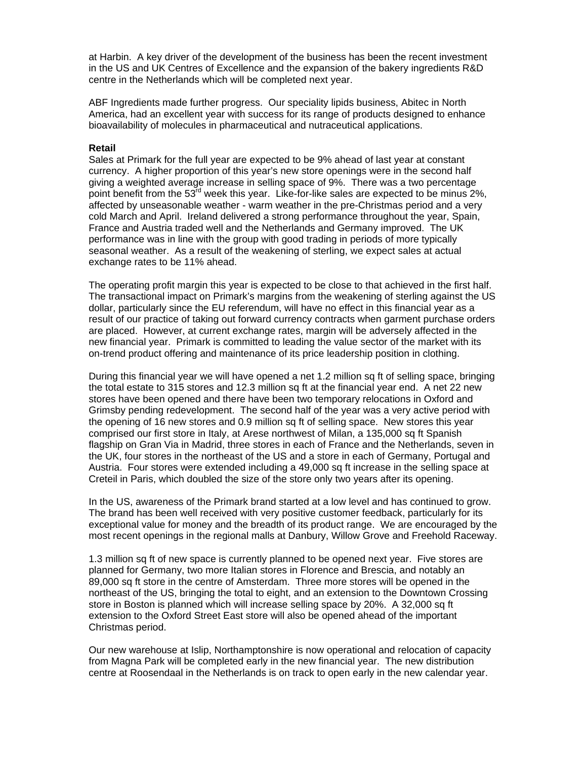at Harbin. A key driver of the development of the business has been the recent investment in the US and UK Centres of Excellence and the expansion of the bakery ingredients R&D centre in the Netherlands which will be completed next year.

ABF Ingredients made further progress. Our speciality lipids business, Abitec in North America, had an excellent year with success for its range of products designed to enhance bioavailability of molecules in pharmaceutical and nutraceutical applications.

#### **Retail**

Sales at Primark for the full year are expected to be 9% ahead of last year at constant currency. A higher proportion of this year's new store openings were in the second half giving a weighted average increase in selling space of 9%. There was a two percentage point benefit from the 53<sup>rd</sup> week this year. Like-for-like sales are expected to be minus 2%, affected by unseasonable weather - warm weather in the pre-Christmas period and a very cold March and April. Ireland delivered a strong performance throughout the year, Spain, France and Austria traded well and the Netherlands and Germany improved. The UK performance was in line with the group with good trading in periods of more typically seasonal weather. As a result of the weakening of sterling, we expect sales at actual exchange rates to be 11% ahead.

The operating profit margin this year is expected to be close to that achieved in the first half. The transactional impact on Primark's margins from the weakening of sterling against the US dollar, particularly since the EU referendum, will have no effect in this financial year as a result of our practice of taking out forward currency contracts when garment purchase orders are placed. However, at current exchange rates, margin will be adversely affected in the new financial year. Primark is committed to leading the value sector of the market with its on-trend product offering and maintenance of its price leadership position in clothing.

During this financial year we will have opened a net 1.2 million sq ft of selling space, bringing the total estate to 315 stores and 12.3 million sq ft at the financial year end. A net 22 new stores have been opened and there have been two temporary relocations in Oxford and Grimsby pending redevelopment. The second half of the year was a very active period with the opening of 16 new stores and 0.9 million sq ft of selling space. New stores this year comprised our first store in Italy, at Arese northwest of Milan, a 135,000 sq ft Spanish flagship on Gran Via in Madrid, three stores in each of France and the Netherlands, seven in the UK, four stores in the northeast of the US and a store in each of Germany, Portugal and Austria. Four stores were extended including a 49,000 sq ft increase in the selling space at Creteil in Paris, which doubled the size of the store only two years after its opening.

In the US, awareness of the Primark brand started at a low level and has continued to grow. The brand has been well received with very positive customer feedback, particularly for its exceptional value for money and the breadth of its product range. We are encouraged by the most recent openings in the regional malls at Danbury, Willow Grove and Freehold Raceway.

1.3 million sq ft of new space is currently planned to be opened next year. Five stores are planned for Germany, two more Italian stores in Florence and Brescia, and notably an 89,000 sq ft store in the centre of Amsterdam. Three more stores will be opened in the northeast of the US, bringing the total to eight, and an extension to the Downtown Crossing store in Boston is planned which will increase selling space by 20%. A 32,000 sq ft extension to the Oxford Street East store will also be opened ahead of the important Christmas period.

Our new warehouse at Islip, Northamptonshire is now operational and relocation of capacity from Magna Park will be completed early in the new financial year. The new distribution centre at Roosendaal in the Netherlands is on track to open early in the new calendar year.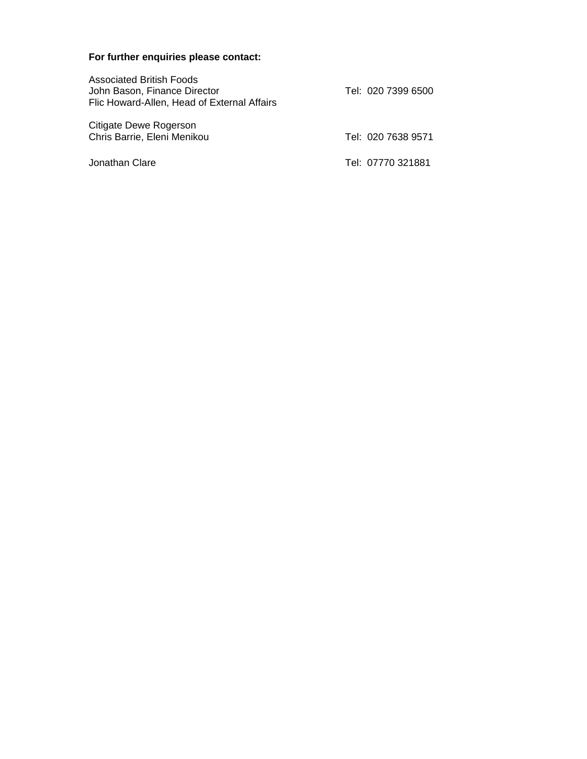# **For further enquiries please contact:**

| <b>Associated British Foods</b><br>John Bason, Finance Director<br>Flic Howard-Allen, Head of External Affairs | Tel: 020 7399 6500 |
|----------------------------------------------------------------------------------------------------------------|--------------------|
| Citigate Dewe Rogerson<br>Chris Barrie, Eleni Menikou                                                          | Tel: 020 7638 9571 |
| Jonathan Clare                                                                                                 | Tel: 07770 321881  |